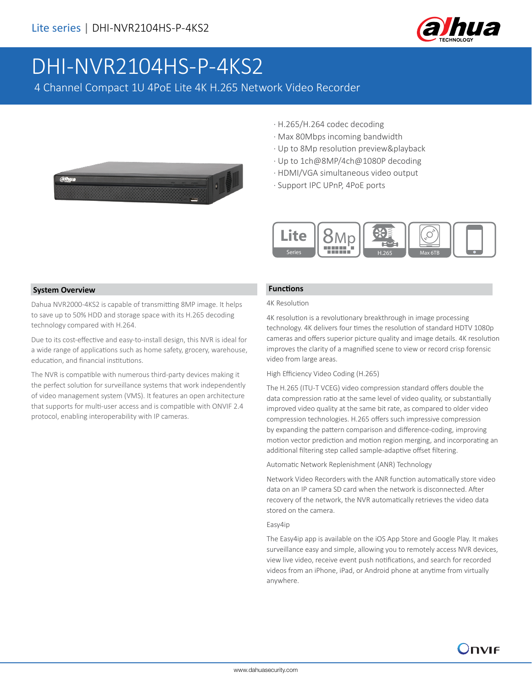

# DHI-NVR2104HS-P-4KS2

4 Channel Compact 1U 4PoE Lite 4K H.265 Network Video Recorder



- · H.265/H.264 codec decoding
- · Max 80Mbps incoming bandwidth
- · Up to 8Mp resolution preview&playback
- · Up to 1ch@8MP/4ch@1080P decoding
- · HDMI/VGA simultaneous video output
- · Support IPC UPnP, 4PoE ports



### **System Overview**

Dahua NVR2000-4KS2 is capable of transmitting 8MP image. It helps to save up to 50% HDD and storage space with its H.265 decoding technology compared with H.264.

Due to its cost-effective and easy-to-install design, this NVR is ideal for a wide range of applications such as home safety, grocery, warehouse, education, and financial institutions.

The NVR is compatible with numerous third-party devices making it the perfect solution for surveillance systems that work independently of video management system (VMS). It features an open architecture that supports for multi-user access and is compatible with ONVIF 2.4 protocol, enabling interoperability with IP cameras.

### **Functions**

#### 4K Resolution

4K resolution is a revolutionary breakthrough in image processing technology. 4K delivers four times the resolution of standard HDTV 1080p cameras and offers superior picture quality and image details. 4K resolution improves the clarity of a magnified scene to view or record crisp forensic video from large areas.

#### High Efficiency Video Coding (H.265)

The H.265 (ITU-T VCEG) video compression standard offers double the data compression ratio at the same level of video quality, or substantially improved video quality at the same bit rate, as compared to older video compression technologies. H.265 offers such impressive compression by expanding the pattern comparison and difference-coding, improving motion vector prediction and motion region merging, and incorporating an additional filtering step called sample-adaptive offset filtering.

Automatic Network Replenishment (ANR) Technology

Network Video Recorders with the ANR function automatically store video data on an IP camera SD card when the network is disconnected. After recovery of the network, the NVR automatically retrieves the video data stored on the camera.

#### Easy4ip

The Easy4ip app is available on the iOS App Store and Google Play. It makes surveillance easy and simple, allowing you to remotely access NVR devices, view live video, receive event push notifications, and search for recorded videos from an iPhone, iPad, or Android phone at anytime from virtually anywhere.

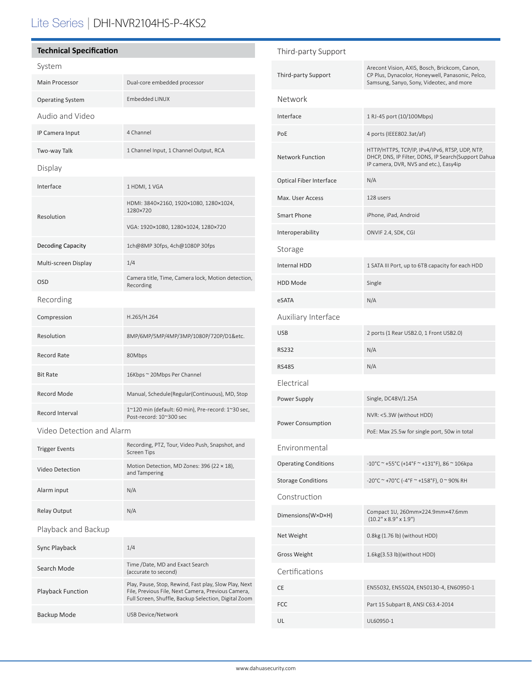# Lite Series | DHI-NVR2104HS-P-4KS2

# **Technical Specification** System Main Processor **Dual-core embedded processor** Operating System Embedded LINUX Audio and Video IP Camera Input 4 Channel Two-way Talk 1 Channel Input, 1 Channel Output, RCA Display Interface 1 HDMI, 1 VGA Resolution HDMI: 3840×2160, 1920×1080, 1280×1024, 1280×720 VGA: 1920×1080, 1280×1024, 1280×720 Decoding Capacity 1ch@8MP 30fps, 4ch@1080P 30fps Multi-screen Display 1/4 OSD Camera title, Time, Camera lock, Motion detection, Recording Recording Compression H.265/H.264 Resolution 8MP/6MP/5MP/4MP/3MP/1080P/720P/D1&etc. Record Rate 80Mbps Bit Rate 16Kbps ~ 20Mbps Per Channel Record Mode Manual, Schedule(Regular(Continuous), MD, Stop Record Interval 1~120 min (default: 60 min), Pre-record: 1~30 sec, Post-record: 10~300 sec Video Detection and Alarm

| <b>Trigger Events</b>    | Recording, PTZ, Tour, Video Push, Snapshot, and<br><b>Screen Tips</b>                                                                                               |  |
|--------------------------|---------------------------------------------------------------------------------------------------------------------------------------------------------------------|--|
| <b>Video Detection</b>   | Motion Detection, MD Zones: 396 (22 $\times$ 18),<br>and Tampering                                                                                                  |  |
| Alarm input              | N/A                                                                                                                                                                 |  |
| <b>Relay Output</b>      | N/A                                                                                                                                                                 |  |
| Playback and Backup      |                                                                                                                                                                     |  |
| Sync Playback            | 1/4                                                                                                                                                                 |  |
| Search Mode              | Time /Date, MD and Exact Search<br>(accurate to second)                                                                                                             |  |
| <b>Playback Function</b> | Play, Pause, Stop, Rewind, Fast play, Slow Play, Next<br>File, Previous File, Next Camera, Previous Camera,<br>Full Screen, Shuffle, Backup Selection, Digital Zoom |  |
| Backup Mode              | <b>USB Device/Network</b>                                                                                                                                           |  |

| Third-party Support            |                                                                                                                                                 |  |
|--------------------------------|-------------------------------------------------------------------------------------------------------------------------------------------------|--|
| <b>Third-party Support</b>     | Arecont Vision, AXIS, Bosch, Brickcom, Canon,<br>CP Plus, Dynacolor, Honeywell, Panasonic, Pelco,<br>Samsung, Sanyo, Sony, Videotec, and more   |  |
| Network                        |                                                                                                                                                 |  |
| Interface                      | 1 RJ-45 port (10/100Mbps)                                                                                                                       |  |
| PoE                            | 4 ports (IEEE802.3at/af)                                                                                                                        |  |
| <b>Network Function</b>        | HTTP/HTTPS, TCP/IP, IPv4/IPv6, RTSP, UDP, NTP,<br>DHCP, DNS, IP Filter, DDNS, IP Search(Support Dahua<br>IP camera, DVR, NVS and etc.), Easy4ip |  |
| <b>Optical Fiber Interface</b> | N/A                                                                                                                                             |  |
| Max. User Access               | 128 users                                                                                                                                       |  |
| Smart Phone                    | iPhone, iPad, Android                                                                                                                           |  |
| Interoperability               | ONVIF 2.4, SDK, CGI                                                                                                                             |  |
| Storage                        |                                                                                                                                                 |  |
| <b>Internal HDD</b>            | 1 SATA III Port, up to 6TB capacity for each HDD                                                                                                |  |
| <b>HDD Mode</b>                | Single                                                                                                                                          |  |
| eSATA                          | N/A                                                                                                                                             |  |
| Auxiliary Interface            |                                                                                                                                                 |  |
| <b>USB</b>                     | 2 ports (1 Rear USB2.0, 1 Front USB2.0)                                                                                                         |  |
| <b>RS232</b>                   | N/A                                                                                                                                             |  |
| <b>RS485</b>                   | N/A                                                                                                                                             |  |
| Electrical                     |                                                                                                                                                 |  |
| Power Supply                   | Single, DC48V/1.25A                                                                                                                             |  |
| Power Consumption              | NVR: <5.3W (without HDD)                                                                                                                        |  |
|                                | PoE: Max 25.5w for single port, 50w in total                                                                                                    |  |
| Environmental                  |                                                                                                                                                 |  |
| <b>Operating Conditions</b>    | -10°C ~ +55°C (+14°F ~ +131°F), 86 ~ 106kpa                                                                                                     |  |
| <b>Storage Conditions</b>      | -20°C ~ +70°C (-4°F ~ +158°F), 0 ~ 90% RH                                                                                                       |  |
| Construction                   |                                                                                                                                                 |  |
| Dimensions(W×D×H)              | Compact 1U, 260mm×224.9mm×47.6mm<br>$(10.2" \times 8.9" \times 1.9")$                                                                           |  |
| Net Weight                     | 0.8kg (1.76 lb) (without HDD)                                                                                                                   |  |
| <b>Gross Weight</b>            | 1.6kg(3.53 lb)(without HDD)                                                                                                                     |  |
| Certifications                 |                                                                                                                                                 |  |
| CE                             | EN55032, EN55024, EN50130-4, EN60950-1                                                                                                          |  |
| <b>FCC</b>                     | Part 15 Subpart B, ANSI C63.4-2014                                                                                                              |  |
| UL                             | UL60950-1                                                                                                                                       |  |